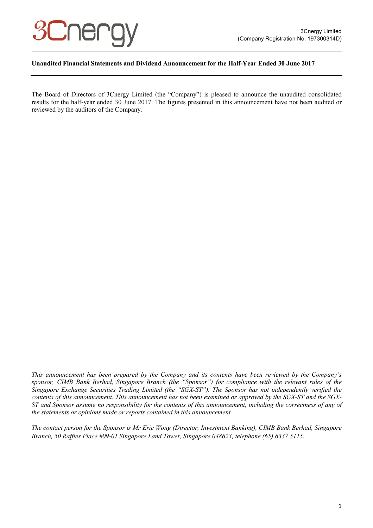

# **Unaudited Financial Statements and Dividend Announcement for the Half-Year Ended 30 June 2017**

The Board of Directors of 3Cnergy Limited (the "Company") is pleased to announce the unaudited consolidated results for the half-year ended 30 June 2017. The figures presented in this announcement have not been audited or reviewed by the auditors of the Company.

*This announcement has been prepared by the Company and its contents have been reviewed by the Company's sponsor, CIMB Bank Berhad, Singapore Branch (the "Sponsor") for compliance with the relevant rules of the Singapore Exchange Securities Trading Limited (the "SGX-ST"). The Sponsor has not independently verified the contents of this announcement. This announcement has not been examined or approved by the SGX-ST and the SGX-ST and Sponsor assume no responsibility for the contents of this announcement, including the correctness of any of the statements or opinions made or reports contained in this announcement.* 

*The contact person for the Sponsor is Mr Eric Wong (Director, Investment Banking), CIMB Bank Berhad, Singapore Branch, 50 Raffles Place #09-01 Singapore Land Tower, Singapore 048623, telephone (65) 6337 5115.*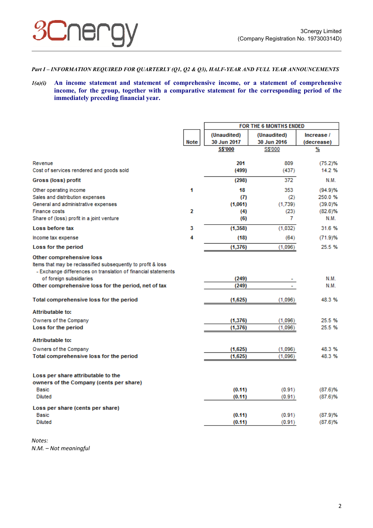# *Part I – INFORMATION REQUIRED FOR QUARTERLY (Q1, Q2 & Q3), HALF-YEAR AND FULL YEAR ANNOUNCEMENTS*

*1(a)(i)* **An income statement and statement of comprehensive income, or a statement of comprehensive income, for the group, together with a comparative statement for the corresponding period of the immediately preceding financial year.** 

|                                                                                                                                                                                      |             | FOR THE 6 MONTHS ENDED |             |            |
|--------------------------------------------------------------------------------------------------------------------------------------------------------------------------------------|-------------|------------------------|-------------|------------|
|                                                                                                                                                                                      |             | (Unaudited)            | (Unaudited) | Increase / |
|                                                                                                                                                                                      | <b>Note</b> | 30 Jun 2017            | 30 Jun 2016 | (decrease) |
|                                                                                                                                                                                      |             | S\$'000                | S\$'000     | %          |
| Revenue                                                                                                                                                                              |             | 201                    | 809         | (75.2)%    |
| Cost of services rendered and goods sold                                                                                                                                             |             | (499)                  | (437)       | 14.2 %     |
| Gross (loss) profit                                                                                                                                                                  |             | (298)                  | 372         | N.M.       |
| Other operating income                                                                                                                                                               | 1           | 18                     | 353         | (94.9)%    |
| Sales and distribution expenses                                                                                                                                                      |             | (7)                    | (2)         | 250.0%     |
| General and administrative expenses                                                                                                                                                  |             | (1,061)                | (1.739)     | (39.0)%    |
| Finance costs                                                                                                                                                                        | 2           | (4)                    | (23)        | $(82.6)$ % |
| Share of (loss) profit in a joint venture                                                                                                                                            |             | (6)                    | 7           | N.M.       |
| Loss before tax                                                                                                                                                                      | 3           | (1, 358)               | (1,032)     | 31.6%      |
| Income tax expense                                                                                                                                                                   | 4           | (18)                   | (64)        | (71.9)%    |
| Loss for the period                                                                                                                                                                  |             | (1, 376)               | (1,096)     | 25.5%      |
| Other comprehensive loss<br>Items that may be reclassified subsequently to profit & loss<br>- Exchange differences on translation of financial statements<br>of foreign subsidiaries |             | (249)                  |             | N.M.       |
| Other comprehensive loss for the period, net of tax                                                                                                                                  |             | (249)                  |             | N.M.       |
|                                                                                                                                                                                      |             |                        |             |            |
| Total comprehensive loss for the period                                                                                                                                              |             | (1,625)                | (1,096)     | 48.3%      |
| <b>Attributable to:</b>                                                                                                                                                              |             |                        |             |            |
| Owners of the Company                                                                                                                                                                |             | (1, 376)               | (1,096)     | 25.5%      |
| Loss for the period                                                                                                                                                                  |             | (1, 376)               | (1,096)     | 25.5%      |
| Attributable to:                                                                                                                                                                     |             |                        |             |            |
| Owners of the Company                                                                                                                                                                |             | (1,625)                | (1,096)     | 48.3%      |
| Total comprehensive loss for the period                                                                                                                                              |             | (1,625)                | (1,096)     | 48.3%      |
| Loss per share attributable to the                                                                                                                                                   |             |                        |             |            |
| owners of the Company (cents per share)                                                                                                                                              |             |                        |             |            |
| <b>Basic</b>                                                                                                                                                                         |             | (0.11)                 | (0.91)      | $(87.6)$ % |
| <b>Diluted</b>                                                                                                                                                                       |             | (0.11)                 | (0.91)      | (87.6)%    |
| Loss per share (cents per share)                                                                                                                                                     |             |                        |             |            |
| Basic                                                                                                                                                                                |             | (0.11)                 | (0.91)      | (87.9)%    |
| <b>Diluted</b>                                                                                                                                                                       |             | (0.11)                 | (0.91)      | $(87.6)$ % |

*Notes: N.M. – Not meaningful*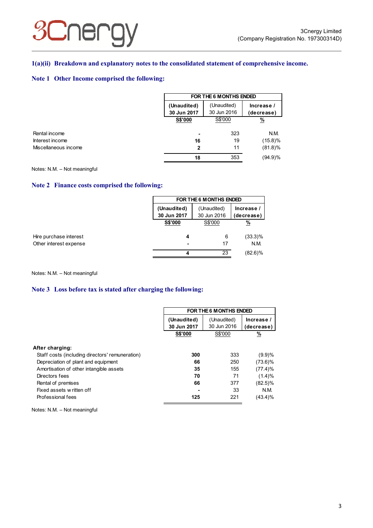# **3Cnergy**

# **1(a)(ii) Breakdown and explanatory notes to the consolidated statement of comprehensive income.**

# **Note 1 Other Income comprised the following:**

|                      | FOR THE 6 MONTHS ENDED                                                               |         |               |  |
|----------------------|--------------------------------------------------------------------------------------|---------|---------------|--|
|                      | (Unaudited)<br>(Unaudited)<br>Increase /<br>30 Jun 2016<br>30 Jun 2017<br>(decrease) |         |               |  |
|                      | <b>S\$'000</b>                                                                       | S\$'000 | $\frac{9}{6}$ |  |
| Rental income        |                                                                                      | 323     | N.M.          |  |
| Interest income      | 16                                                                                   | 19      | $(15.8)\%$    |  |
| Miscellaneous income | 2                                                                                    | 11      | $(81.8)\%$    |  |
|                      | 18                                                                                   | 353     | $(94.9)\%$    |  |

Notes: N.M. – Not meaningful

# **Note 2 Finance costs comprised the following:**

|                                                  | FOR THE 6 M ONTHS ENDED    |                            |                    |  |
|--------------------------------------------------|----------------------------|----------------------------|--------------------|--|
|                                                  | (Unaudited)<br>30 Jun 2017 | (Unaudited)<br>30 Jun 2016 |                    |  |
|                                                  | <b>S\$'000</b>             | S\$'000                    | <u>%</u>           |  |
| Hire purchase interest<br>Other interest expense | 4                          | 6<br>17                    | $(33.3)\%$<br>N.M. |  |
|                                                  | Δ                          | 23                         | $(82.6)\%$         |  |

#### Notes: N.M. – Not meaningful

### **Note 3 Loss before tax is stated after charging the following:**

|                                                 | FOR THE 6 MONTHS ENDED |             |               |
|-------------------------------------------------|------------------------|-------------|---------------|
|                                                 | (Unaudited)            | (Unaudited) | Increase /    |
|                                                 | 30 Jun 2017            | 30 Jun 2016 | (decrease)    |
|                                                 | <b>S\$'000</b>         | S\$'000     | $\frac{9}{6}$ |
| After charging:                                 |                        |             |               |
| Staff costs (including directors' remuneration) | 300                    | 333         | (9.9)%        |
| Depreciation of plant and equipment             | 66                     | 250         | $(73.6)\%$    |
| Amortisation of other intangible assets         | 35                     | 155         | $(77.4)\%$    |
| Directors fees                                  | 70                     | 71          | (1.4)%        |
| Rental of premises                              | 66                     | 377         | $(82.5)\%$    |
| Fixed assets w ritten off                       |                        | 33          | N.M.          |
| Professional fees                               | 125                    | 221         | (43.4)%       |

Notes: N.M. – Not meaningful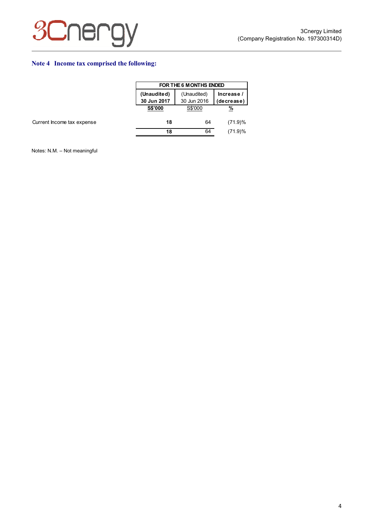

# **Note 4 Income tax comprised the following:**

|                            |                                                                                      | FOR THE 6 M ONTHS ENDED |          |  |  |
|----------------------------|--------------------------------------------------------------------------------------|-------------------------|----------|--|--|
|                            | (Unaudited)<br>(Unaudited)<br>Increase /<br>30 Jun 2016<br>30 Jun 2017<br>(decrease) |                         |          |  |  |
|                            | <b>S\$'000</b>                                                                       | S\$'000                 | <u>%</u> |  |  |
| Current Income tax expense | 18                                                                                   | 64                      | (71.9)%  |  |  |
|                            | 18                                                                                   | 64                      | (71.9)%  |  |  |

Notes: N.M. – Not meaningful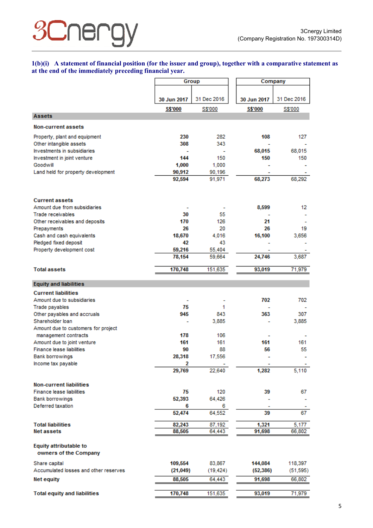# **3Cnergy**

# **1(b)(i) A statement of financial position (for the issuer and group), together with a comparative statement as at the end of the immediately preceding financial year.**

|                                                          |                         | Group       |                | Company     |
|----------------------------------------------------------|-------------------------|-------------|----------------|-------------|
|                                                          |                         |             |                |             |
|                                                          | 30 Jun 2017             | 31 Dec 2016 | 30 Jun 2017    | 31 Dec 2016 |
|                                                          | S\$'000                 | S\$'000     | <b>S\$'000</b> | S\$'000     |
| <b>Assets</b>                                            |                         |             |                |             |
| <b>Non-current assets</b>                                |                         |             |                |             |
|                                                          | 230                     | 282         | 108            | 127         |
| Property, plant and equipment<br>Other intangible assets | 308                     | 343         |                |             |
| Investments in subsidiaries                              |                         |             | 68,015         | 68,015      |
| Investment in joint venture                              | 144                     | 150         | 150            | 150         |
| Goodwill                                                 | 1,000                   | 1,000       |                |             |
| Land held for property development                       | 90,912                  | 90,196      |                |             |
|                                                          | 92,594                  | 91,971      | 68,273         | 68,292      |
| <b>Current assets</b>                                    |                         |             |                |             |
| Amount due from subsidiaries                             |                         |             | 8,599          | 12          |
| <b>Trade receivables</b>                                 | 30                      | 55          |                |             |
| Other receivables and deposits                           | 170                     | 126         | 21             |             |
| Prepayments                                              | 26                      | 20          | 26             | 19          |
| Cash and cash equivalents                                | 18,670                  | 4,016       | 16,100         | 3,656       |
| Pledged fixed deposit                                    | 42                      | 43.         |                |             |
| Property development cost                                | 59,216                  | 55,404      |                |             |
|                                                          | 78,154                  | 59,664      | 24,746         | 3,687       |
| <b>Total assets</b>                                      | 170,748                 | 151,635     | 93,019         | 71,979      |
| <b>Equity and liabilities</b>                            |                         |             |                |             |
| <b>Current liabilities</b>                               |                         |             |                |             |
| Amount due to subsidiaries                               |                         |             | 702            | 702         |
| Trade payables                                           | 75                      | 1           |                |             |
| Other payables and accruals                              | 945                     | 843         | 363            | 307         |
| Shareholder loan                                         | ۰                       | 3,885       |                | 3,885       |
| Amount due to customers for project                      |                         |             |                |             |
| management contracts<br>Amount due to joint venture      | 178<br>161              | 106<br>161  | 161            | 161         |
| <b>Finance lease liabilities</b>                         | 90                      | 88          | 56             | 55          |
| Bank borrowings                                          | 28,318                  | 17,556      |                |             |
| Income tax payable                                       | $\overline{\mathbf{2}}$ |             |                |             |
|                                                          | 29,769                  | 22,640      | 1,282          | 5,110       |
| <b>Non-current liabilities</b>                           |                         |             |                |             |
| Finance lease liabilities                                | 75                      | 120         | 39             | 67          |
| <b>Bank borrowings</b>                                   | 52,393                  | 64,426      |                |             |
| Deferred taxation                                        | 6                       | 6           |                |             |
|                                                          | 52,474                  | 64,552      | 39             | 67          |
| <b>Total liabilities</b>                                 | 82,243                  | 87,192      | 1,321          | 5,177       |
| <b>Net assets</b>                                        | 88,505                  | 64,443      | 91,698         | 66,802      |
| <b>Equity attributable to</b><br>owners of the Company   |                         |             |                |             |
| Share capital                                            | 109,554                 | 83,867      | 144,084        | 118,397     |
| Accumulated losses and other reserves                    | (21, 049)               | (19, 424)   | (52, 386)      | (51, 595)   |
| <b>Net equity</b>                                        | 88,505                  | 64,443      | 91,698         | 66,802      |
| <b>Total equity and liabilities</b>                      | 170,748                 | 151,635     | 93,019         | 71,979      |
|                                                          |                         |             |                |             |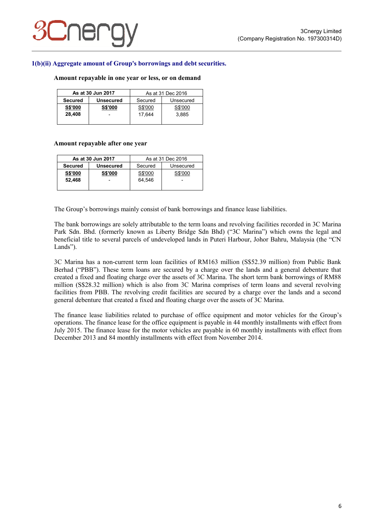

# **1(b)(ii) Aggregate amount of Group's borrowings and debt securities.**

#### **Amount repayable in one year or less, or on demand**

| As at 30 Jun 2017 |                          | As at 31 Dec 2016    |         |
|-------------------|--------------------------|----------------------|---------|
| <b>Secured</b>    | <b>Unsecured</b>         | Secured<br>Unsecured |         |
| <b>S\$'000</b>    | <b>S\$'000</b>           | S\$'000              | S\$'000 |
| 28,408            | $\overline{\phantom{0}}$ | 17.644               | 3.885   |
|                   |                          |                      |         |

#### **Amount repayable after one year**

| As at 30 Jun 2017 |                          | As at 31 Dec 2016    |         |  |
|-------------------|--------------------------|----------------------|---------|--|
| <b>Secured</b>    | <b>Unsecured</b>         | Secured<br>Unsecured |         |  |
| <b>S\$'000</b>    | <b>S\$'000</b>           | S\$'000              | S\$'000 |  |
| 52,468            | $\overline{\phantom{0}}$ | 64.546               |         |  |
|                   |                          |                      |         |  |

The Group's borrowings mainly consist of bank borrowings and finance lease liabilities.

The bank borrowings are solely attributable to the term loans and revolving facilities recorded in 3C Marina Park Sdn. Bhd. (formerly known as Liberty Bridge Sdn Bhd) ("3C Marina") which owns the legal and beneficial title to several parcels of undeveloped lands in Puteri Harbour, Johor Bahru, Malaysia (the "CN Lands").

3C Marina has a non-current term loan facilities of RM163 million (S\$52.39 million) from Public Bank Berhad ("PBB"). These term loans are secured by a charge over the lands and a general debenture that created a fixed and floating charge over the assets of 3C Marina. The short term bank borrowings of RM88 million (S\$28.32 million) which is also from 3C Marina comprises of term loans and several revolving facilities from PBB. The revolving credit facilities are secured by a charge over the lands and a second general debenture that created a fixed and floating charge over the assets of 3C Marina.

The finance lease liabilities related to purchase of office equipment and motor vehicles for the Group's operations. The finance lease for the office equipment is payable in 44 monthly installments with effect from July 2015. The finance lease for the motor vehicles are payable in 60 monthly installments with effect from December 2013 and 84 monthly installments with effect from November 2014.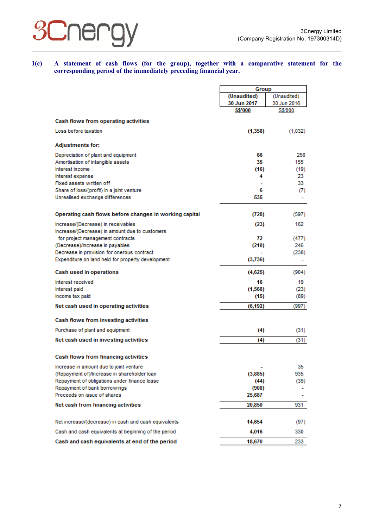

**1(c) A statement of cash flows (for the group), together with a comparative statement for the corresponding period of the immediately preceding financial year.** 

|                                                        | Group          |                |
|--------------------------------------------------------|----------------|----------------|
|                                                        | (Unaudited)    | (Unaudited)    |
|                                                        | 30 Jun 2017    | 30 Jun 2016    |
|                                                        | <b>S\$'000</b> | <b>S\$'000</b> |
|                                                        |                |                |
| <b>Cash flows from operating activities</b>            |                |                |
| Loss before taxation                                   | (1,358)        | (1,032)        |
|                                                        |                |                |
| <b>Adjustments for:</b>                                |                |                |
| Depreciation of plant and equipment                    | 66             | 250            |
| Amortisation of intangible assets                      | 35             | 155            |
| Interest income                                        | (16)           | (19)           |
| Interest expense                                       | 4              | 23.            |
| Fixed assets written off                               |                | 33.            |
| Share of loss/(profit) in a joint venture              | 6              | (7)            |
| Unrealised exchange differences                        | 535            |                |
|                                                        |                |                |
| Operating cash flows before changes in working capital | (728)          | (597)          |
| Increase/(Decrease) in receivables                     | (23)           | 162            |
| Increase/(Decrease) in amount due to customers         |                |                |
| for project management contracts                       | 72             | (477)          |
| (Decrease)/Increase in payables                        | (210)          | 246            |
| Decrease in provision for onerous contract             |                | (238)          |
| Expenditure on land held for property development      | (3,736)        |                |
| Cash used in operations                                | (4,625)        | (904)          |
|                                                        |                |                |
| Interest received                                      | 16             | 19             |
| Interest paid                                          | (1,568)        | (23)           |
| Income tax paid                                        | (15)           | (89)           |
| Net cash used in operating activities                  | (6, 192)       | (997)          |
| Cash flows from investing activities                   |                |                |
| Purchase of plant and equipment                        | (4)            | (31)           |
| Net cash used in investing activities                  | (4)            | (31)           |
|                                                        |                |                |
| Cash flows from financing activities                   |                |                |
| Increase in amount due to joint venture                |                | 35             |
| (Repayment of)/Increase in shareholder loan            | (3,885)        | 935            |
| Repayment of obligations under finance lease           | (44)           | (39)           |
| Repayment of bank borrowings                           | (908)          |                |
| Proceeds on issue of shares                            | 25,687         |                |
| Net cash from financing activities                     | 20,850         | 931            |
|                                                        |                |                |
| Net increase/(decrease) in cash and cash equivalents   | 14,654         | (97)           |
| Cash and cash equivalents at beginning of the period   | 4,016          | 330            |
| Cash and cash equivalents at end of the period         | 18,670         | 233            |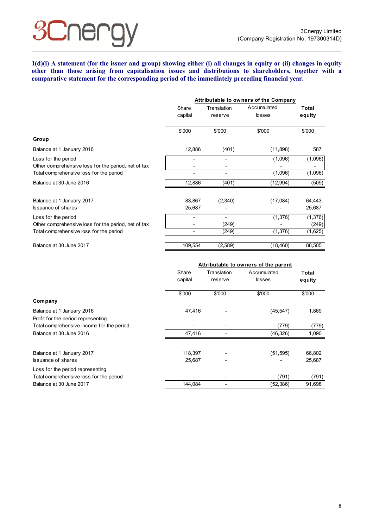Jer

**1(d)(i) A statement (for the issuer and group) showing either (i) all changes in equity or (ii) changes in equity other than those arising from capitalisation issues and distributions to shareholders, together with a comparative statement for the corresponding period of the immediately preceding financial year.** 

|                                                     | Attributable to owners of the Company |                        |                       |                 |
|-----------------------------------------------------|---------------------------------------|------------------------|-----------------------|-----------------|
|                                                     | Share<br>capital                      | Translation<br>reserve | Accumulated<br>losses | Total<br>equity |
|                                                     | \$'000                                | \$'000                 | \$'000                | \$'000          |
| Group                                               |                                       |                        |                       |                 |
| Balance at 1 January 2016                           | 12,886                                | (401)                  | (11, 898)             | 587             |
| Loss for the period                                 |                                       | ٠                      | (1,096)               | (1,096)         |
| Other comprehensive loss for the period, net of tax |                                       |                        |                       | -               |
| Total comprehensive loss for the period             |                                       |                        | (1,096)               | (1,096)         |
| Balance at 30 June 2016                             | 12,886                                | (401)                  | (12,994)              | (509)           |
| Balance at 1 January 2017                           | 83,867                                | (2,340)                | (17,084)              | 64,443          |
| <b>Issuance of shares</b>                           | 25,687                                |                        |                       | 25,687          |
| Loss for the period                                 |                                       |                        | (1, 376)              | (1,376)         |
| Other comprehensive loss for the period, net of tax |                                       | (249)                  |                       | (249)           |
| Total comprehensive loss for the period             |                                       | (249)                  | (1,376)               | (1,625)         |
| Balance at 30 June 2017                             | 109,554                               | (2,589)                | (18, 460)             | 88,505          |

|                                                                             | Attributable to owners of the parent |                          |                       |                 |
|-----------------------------------------------------------------------------|--------------------------------------|--------------------------|-----------------------|-----------------|
|                                                                             | Share<br>capital                     | Translation<br>reserve   | Accumulated<br>losses | Total<br>equity |
| <b>Company</b>                                                              | \$'000                               | \$'000                   | \$'000                | \$'000          |
| Balance at 1 January 2016<br>Profit for the period representing             | 47,416                               |                          | (45, 547)             | 1,869           |
| Total comprehensive income for the period<br>Balance at 30 June 2016        | 47,416                               |                          | (779)<br>(46, 326)    | (779)<br>1,090  |
| Balance at 1 January 2017                                                   | 118,397                              |                          | (51, 595)             | 66,802          |
| <b>Issuance of shares</b>                                                   | 25,687                               | $\overline{\phantom{a}}$ |                       | 25,687          |
| Loss for the period representing<br>Total comprehensive loss for the period |                                      |                          | (791)                 | (791)           |
| Balance at 30 June 2017                                                     | 144,084                              |                          | (52, 386)             | 91,698          |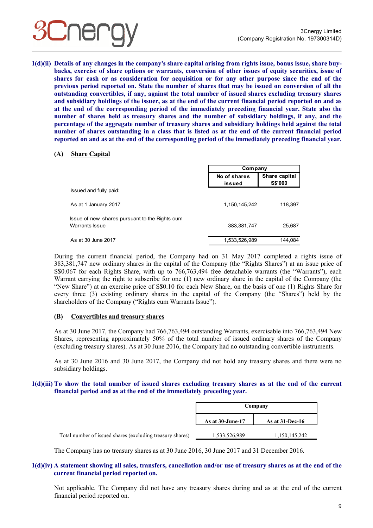

**1(d)(ii) Details of any changes in the company's share capital arising from rights issue, bonus issue, share buybacks, exercise of share options or warrants, conversion of other issues of equity securities, issue of shares for cash or as consideration for acquisition or for any other purpose since the end of the previous period reported on. State the number of shares that may be issued on conversion of all the outstanding convertibles, if any, against the total number of issued shares excluding treasury shares and subsidiary holdings of the issuer, as at the end of the current financial period reported on and as at the end of the corresponding period of the immediately preceding financial year. State also the number of shares held as treasury shares and the number of subsidiary holdings, if any, and the percentage of the aggregate number of treasury shares and subsidiary holdings held against the total number of shares outstanding in a class that is listed as at the end of the current financial period reported on and as at the end of the corresponding period of the immediately preceding financial year.**

#### **(A) Share Capital**

|                                                                  | Company                |                                 |
|------------------------------------------------------------------|------------------------|---------------------------------|
|                                                                  | No of shares<br>issued | Share capital<br><b>S\$'000</b> |
| Issued and fully paid:                                           |                        |                                 |
| As at 1 January 2017                                             | 1,150,145,242          | 118,397                         |
| Issue of new shares pursuant to the Rights cum<br>Warrants Issue | 383, 381, 747          | 25,687                          |
| As at 30 June 2017                                               | 1,533,526,989          | 144.084                         |

During the current financial period, the Company had on 31 May 2017 completed a rights issue of 383,381,747 new ordinary shares in the capital of the Company (the "Rights Shares") at an issue price of S\$0.067 for each Rights Share, with up to 766,763,494 free detachable warrants (the "Warrants"), each Warrant carrying the right to subscribe for one (1) new ordinary share in the capital of the Company (the "New Share") at an exercise price of S\$0.10 for each New Share, on the basis of one (1) Rights Share for every three (3) existing ordinary shares in the capital of the Company (the "Shares") held by the shareholders of the Company ("Rights cum Warrants Issue").

# **(B) Convertibles and treasury shares**

As at 30 June 2017, the Company had 766,763,494 outstanding Warrants, exercisable into 766,763,494 New Shares, representing approximately 50% of the total number of issued ordinary shares of the Company (excluding treasury shares). As at 30 June 2016, the Company had no outstanding convertible instruments.

As at 30 June 2016 and 30 June 2017, the Company did not hold any treasury shares and there were no subsidiary holdings.

#### **1(d)(iii) To show the total number of issued shares excluding treasury shares as at the end of the current financial period and as at the end of the immediately preceding year.**

|                                                           | Company          |                    |  |
|-----------------------------------------------------------|------------------|--------------------|--|
|                                                           | As at 30-June-17 | As at $31$ -Dec-16 |  |
| Total number of issued shares (excluding treasury shares) | 1,533,526,989    | 1,150,145,242      |  |

The Company has no treasury shares as at 30 June 2016, 30 June 2017 and 31 December 2016.

### **1(d)(iv) A statement showing all sales, transfers, cancellation and/or use of treasury shares as at the end of the current financial period reported on.**

Not applicable. The Company did not have any treasury shares during and as at the end of the current financial period reported on.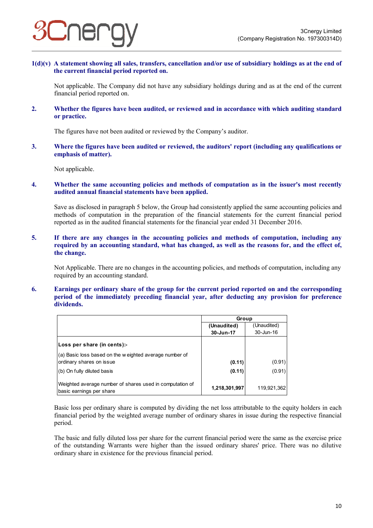

**1(d)(v) A statement showing all sales, transfers, cancellation and/or use of subsidiary holdings as at the end of the current financial period reported on.** 

Not applicable. The Company did not have any subsidiary holdings during and as at the end of the current financial period reported on.

**2. Whether the figures have been audited, or reviewed and in accordance with which auditing standard or practice.** 

The figures have not been audited or reviewed by the Company's auditor.

**3. Where the figures have been audited or reviewed, the auditors' report (including any qualifications or emphasis of matter).** 

Not applicable.

**4. Whether the same accounting policies and methods of computation as in the issuer's most recently audited annual financial statements have been applied.** 

Save as disclosed in paragraph 5 below, the Group had consistently applied the same accounting policies and methods of computation in the preparation of the financial statements for the current financial period reported as in the audited financial statements for the financial year ended 31 December 2016.

**5. If there are any changes in the accounting policies and methods of computation, including any required by an accounting standard, what has changed, as well as the reasons for, and the effect of, the change.** 

Not Applicable. There are no changes in the accounting policies, and methods of computation, including any required by an accounting standard.

**6. Earnings per ordinary share of the group for the current period reported on and the corresponding period of the immediately preceding financial year, after deducting any provision for preference dividends.** 

|                                                                                      | Group         |             |  |
|--------------------------------------------------------------------------------------|---------------|-------------|--|
|                                                                                      | (Unaudited)   | (Unaudited) |  |
|                                                                                      | 30-Jun-17     | 30-Jun-16   |  |
| Loss per share (in cents):-                                                          |               |             |  |
| (a) Basic loss based on the weighted average number of                               |               |             |  |
| ordinary shares on issue                                                             | (0.11)        | (0.91)      |  |
| (b) On fully diluted basis                                                           | (0.11)        | (0.91)      |  |
| Weighted average number of shares used in computation of<br>basic earnings per share | 1,218,301,997 | 119,921,362 |  |

Basic loss per ordinary share is computed by dividing the net loss attributable to the equity holders in each financial period by the weighted average number of ordinary shares in issue during the respective financial period.

The basic and fully diluted loss per share for the current financial period were the same as the exercise price of the outstanding Warrants were higher than the issued ordinary shares' price. There was no dilutive ordinary share in existence for the previous financial period.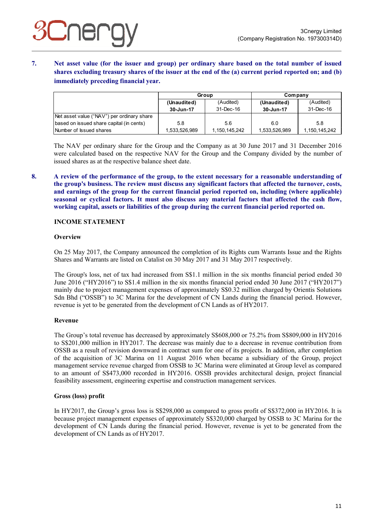**7. Net asset value (for the issuer and group) per ordinary share based on the total number of issued shares excluding treasury shares of the issuer at the end of the (a) current period reported on; and (b) immediately preceding financial year.** 

|                                            | Group         |               | Company       |               |
|--------------------------------------------|---------------|---------------|---------------|---------------|
|                                            | (Unaudited)   | (Audited)     | (Unaudited)   | (Audited)     |
|                                            | 30-Jun-17     | 31-Dec-16     | 30-Jun-17     | 31-Dec-16     |
| Net asset value ("NAV") per ordinary share |               |               |               |               |
| based on issued share capital (in cents)   | 5.8           | 5.6           | 6.0           | 5.8           |
| Number of Issued shares                    | 1,533,526,989 | 1,150,145,242 | 1,533,526,989 | 1,150,145,242 |

The NAV per ordinary share for the Group and the Company as at 30 June 2017 and 31 December 2016 were calculated based on the respective NAV for the Group and the Company divided by the number of issued shares as at the respective balance sheet date.

**8. A review of the performance of the group, to the extent necessary for a reasonable understanding of the group's business. The review must discuss any significant factors that affected the turnover, costs, and earnings of the group for the current financial period reported on, including (where applicable) seasonal or cyclical factors. It must also discuss any material factors that affected the cash flow, working capital, assets or liabilities of the group during the current financial period reported on.** 

# **INCOME STATEMENT**

# **Overview**

On 25 May 2017, the Company announced the completion of its Rights cum Warrants Issue and the Rights Shares and Warrants are listed on Catalist on 30 May 2017 and 31 May 2017 respectively.

The Group's loss, net of tax had increased from S\$1.1 million in the six months financial period ended 30 June 2016 ("HY2016") to S\$1.4 million in the six months financial period ended 30 June 2017 ("HY2017") mainly due to project management expenses of approximately S\$0.32 million charged by Orientis Solutions Sdn Bhd ("OSSB") to 3C Marina for the development of CN Lands during the financial period. However, revenue is yet to be generated from the development of CN Lands as of HY2017.

# **Revenue**

The Group's total revenue has decreased by approximately S\$608,000 or 75.2% from S\$809,000 in HY2016 to S\$201,000 million in HY2017. The decrease was mainly due to a decrease in revenue contribution from OSSB as a result of revision downward in contract sum for one of its projects. In addition, after completion of the acquisition of 3C Marina on 11 August 2016 when became a subsidiary of the Group, project management service revenue charged from OSSB to 3C Marina were eliminated at Group level as compared to an amount of S\$473,000 recorded in HY2016. OSSB provides architectural design, project financial feasibility assessment, engineering expertise and construction management services.

# **Gross (loss) profit**

In HY2017, the Group's gross loss is S\$298,000 as compared to gross profit of S\$372,000 in HY2016. It is because project management expenses of approximately S\$320,000 charged by OSSB to 3C Marina for the development of CN Lands during the financial period. However, revenue is yet to be generated from the development of CN Lands as of HY2017.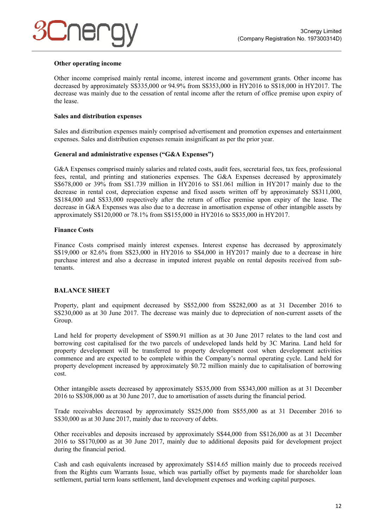# **Other operating income**

Other income comprised mainly rental income, interest income and government grants. Other income has decreased by approximately S\$335,000 or 94.9% from S\$353,000 in HY2016 to S\$18,000 in HY2017. The decrease was mainly due to the cessation of rental income after the return of office premise upon expiry of the lease.

#### **Sales and distribution expenses**

Sales and distribution expenses mainly comprised advertisement and promotion expenses and entertainment expenses. Sales and distribution expenses remain insignificant as per the prior year.

### **General and administrative expenses ("G&A Expenses")**

G&A Expenses comprised mainly salaries and related costs, audit fees, secretarial fees, tax fees, professional fees, rental, and printing and stationeries expenses. The G&A Expenses decreased by approximately S\$678,000 or 39% from S\$1.739 million in HY2016 to S\$1.061 million in HY2017 mainly due to the decrease in rental cost, depreciation expense and fixed assets written off by approximately S\$311,000, S\$184,000 and S\$33,000 respectively after the return of office premise upon expiry of the lease. The decrease in G&A Expenses was also due to a decrease in amortisation expense of other intangible assets by approximately S\$120,000 or 78.1% from S\$155,000 in HY2016 to S\$35,000 in HY2017.

### **Finance Costs**

Finance Costs comprised mainly interest expenses. Interest expense has decreased by approximately S\$19,000 or 82.6% from S\$23,000 in HY2016 to S\$4,000 in HY2017 mainly due to a decrease in hire purchase interest and also a decrease in imputed interest payable on rental deposits received from subtenants.

# **BALANCE SHEET**

Property, plant and equipment decreased by S\$52,000 from S\$282,000 as at 31 December 2016 to S\$230,000 as at 30 June 2017. The decrease was mainly due to depreciation of non-current assets of the Group.

Land held for property development of S\$90.91 million as at 30 June 2017 relates to the land cost and borrowing cost capitalised for the two parcels of undeveloped lands held by 3C Marina. Land held for property development will be transferred to property development cost when development activities commence and are expected to be complete within the Company's normal operating cycle. Land held for property development increased by approximately \$0.72 million mainly due to capitalisation of borrowing cost.

Other intangible assets decreased by approximately S\$35,000 from S\$343,000 million as at 31 December 2016 to S\$308,000 as at 30 June 2017, due to amortisation of assets during the financial period.

Trade receivables decreased by approximately S\$25,000 from S\$55,000 as at 31 December 2016 to S\$30,000 as at 30 June 2017, mainly due to recovery of debts.

Other receivables and deposits increased by approximately S\$44,000 from S\$126,000 as at 31 December 2016 to S\$170,000 as at 30 June 2017, mainly due to additional deposits paid for development project during the financial period.

Cash and cash equivalents increased by approximately S\$14.65 million mainly due to proceeds received from the Rights cum Warrants Issue, which was partially offset by payments made for shareholder loan settlement, partial term loans settlement, land development expenses and working capital purposes.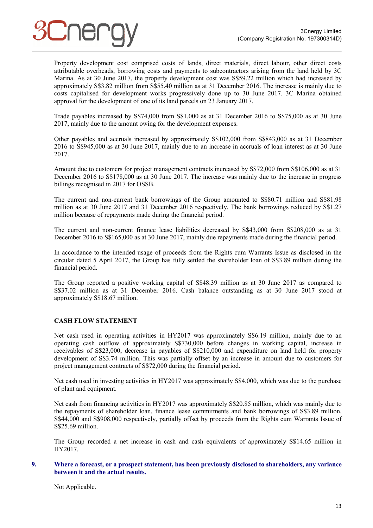Property development cost comprised costs of lands, direct materials, direct labour, other direct costs attributable overheads, borrowing costs and payments to subcontractors arising from the land held by 3C Marina. As at 30 June 2017, the property development cost was S\$59.22 million which had increased by approximately S\$3.82 million from S\$55.40 million as at 31 December 2016. The increase is mainly due to costs capitalised for development works progressively done up to 30 June 2017. 3C Marina obtained approval for the development of one of its land parcels on 23 January 2017.

Trade payables increased by S\$74,000 from S\$1,000 as at 31 December 2016 to S\$75,000 as at 30 June 2017, mainly due to the amount owing for the development expenses.

Other payables and accruals increased by approximately S\$102,000 from S\$843,000 as at 31 December 2016 to S\$945,000 as at 30 June 2017, mainly due to an increase in accruals of loan interest as at 30 June 2017.

Amount due to customers for project management contracts increased by S\$72,000 from S\$106,000 as at 31 December 2016 to S\$178,000 as at 30 June 2017. The increase was mainly due to the increase in progress billings recognised in 2017 for OSSB.

The current and non-current bank borrowings of the Group amounted to S\$80.71 million and S\$81.98 million as at 30 June 2017 and 31 December 2016 respectively. The bank borrowings reduced by S\$1.27 million because of repayments made during the financial period.

The current and non-current finance lease liabilities decreased by S\$43,000 from S\$208,000 as at 31 December 2016 to S\$165,000 as at 30 June 2017, mainly due repayments made during the financial period.

In accordance to the intended usage of proceeds from the Rights cum Warrants Issue as disclosed in the circular dated 5 April 2017, the Group has fully settled the shareholder loan of S\$3.89 million during the financial period.

The Group reported a positive working capital of S\$48.39 million as at 30 June 2017 as compared to S\$37.02 million as at 31 December 2016. Cash balance outstanding as at 30 June 2017 stood at approximately S\$18.67 million.

# **CASH FLOW STATEMENT**

Net cash used in operating activities in HY2017 was approximately S\$6.19 million, mainly due to an operating cash outflow of approximately S\$730,000 before changes in working capital, increase in receivables of S\$23,000, decrease in payables of S\$210,000 and expenditure on land held for property development of S\$3.74 million. This was partially offset by an increase in amount due to customers for project management contracts of S\$72,000 during the financial period.

Net cash used in investing activities in HY2017 was approximately S\$4,000, which was due to the purchase of plant and equipment.

Net cash from financing activities in HY2017 was approximately S\$20.85 million, which was mainly due to the repayments of shareholder loan, finance lease commitments and bank borrowings of S\$3.89 million, S\$44,000 and S\$908,000 respectively, partially offset by proceeds from the Rights cum Warrants Issue of S\$25.69 million.

The Group recorded a net increase in cash and cash equivalents of approximately S\$14.65 million in HY2017.

### **9. Where a forecast, or a prospect statement, has been previously disclosed to shareholders, any variance between it and the actual results.**

Not Applicable.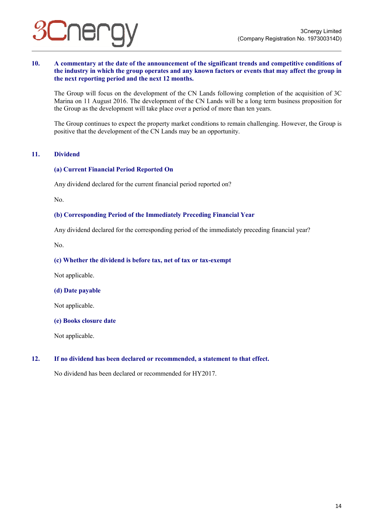# **10. A commentary at the date of the announcement of the significant trends and competitive conditions of the industry in which the group operates and any known factors or events that may affect the group in the next reporting period and the next 12 months.**

The Group will focus on the development of the CN Lands following completion of the acquisition of 3C Marina on 11 August 2016. The development of the CN Lands will be a long term business proposition for the Group as the development will take place over a period of more than ten years.

The Group continues to expect the property market conditions to remain challenging. However, the Group is positive that the development of the CN Lands may be an opportunity.

# **11. Dividend**

# **(a) Current Financial Period Reported On**

Any dividend declared for the current financial period reported on?

No.

# **(b) Corresponding Period of the Immediately Preceding Financial Year**

Any dividend declared for the corresponding period of the immediately preceding financial year?

No.

### **(c) Whether the dividend is before tax, net of tax or tax-exempt**

Not applicable.

# **(d) Date payable**

Not applicable.

#### **(e) Books closure date**

Not applicable.

# **12. If no dividend has been declared or recommended, a statement to that effect.**

No dividend has been declared or recommended for HY2017.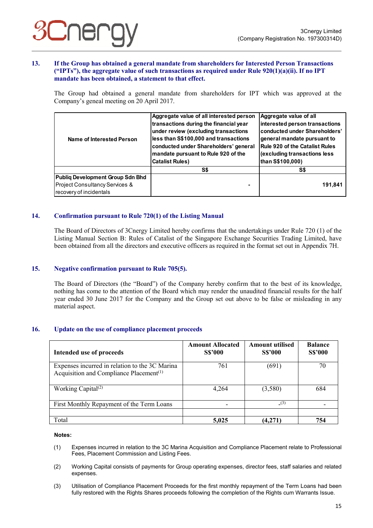### **13. If the Group has obtained a general mandate from shareholders for Interested Person Transactions ("IPTs"), the aggregate value of such transactions as required under Rule 920(1)(a)(ii). If no IPT mandate has been obtained, a statement to that effect.**

The Group had obtained a general mandate from shareholders for IPT which was approved at the Company's geneal meeting on 20 April 2017.

| Name of Interested Person        | Aggregate value of all interested person<br>transactions during the financial year<br>under review (excluding transactions<br>less than S\$100,000 and transactions<br>conducted under Shareholders' general<br>mandate pursuant to Rule 920 of the<br><b>Catalist Rules)</b> | Aggregate value of all<br>interested person transactions<br>conducted under Shareholders'<br>general mandate pursuant to<br>Rule 920 of the Catalist Rules<br>(excluding transactions less<br>than S\$100,000) |  |
|----------------------------------|-------------------------------------------------------------------------------------------------------------------------------------------------------------------------------------------------------------------------------------------------------------------------------|----------------------------------------------------------------------------------------------------------------------------------------------------------------------------------------------------------------|--|
|                                  | S\$                                                                                                                                                                                                                                                                           | S\$                                                                                                                                                                                                            |  |
| Publiq Development Group Sdn Bhd |                                                                                                                                                                                                                                                                               |                                                                                                                                                                                                                |  |
| Project Consultancy Services &   |                                                                                                                                                                                                                                                                               | 191,841                                                                                                                                                                                                        |  |
| recovery of incidentals          |                                                                                                                                                                                                                                                                               |                                                                                                                                                                                                                |  |

# **14. Confirmation pursuant to Rule 720(1) of the Listing Manual**

The Board of Directors of 3Cnergy Limited hereby confirms that the undertakings under Rule 720 (1) of the Listing Manual Section B: Rules of Catalist of the Singapore Exchange Securities Trading Limited, have been obtained from all the directors and executive officers as required in the format set out in Appendix 7H.

# **15. Negative confirmation pursuant to Rule 705(5).**

The Board of Directors (the "Board") of the Company hereby confirm that to the best of its knowledge, nothing has come to the attention of the Board which may render the unaudited financial results for the half year ended 30 June 2017 for the Company and the Group set out above to be false or misleading in any material aspect.

#### **16. Update on the use of compliance placement proceeds**

| Intended use of proceeds                                                                                           | <b>Amount Allocated</b><br><b>S\$'000</b> | <b>Amount utilised</b><br><b>S\$'000</b> | <b>Balance</b><br><b>S\$'000</b> |
|--------------------------------------------------------------------------------------------------------------------|-------------------------------------------|------------------------------------------|----------------------------------|
| Expenses incurred in relation to the 3C Marina<br>Acquisition and Compliance Placement <sup><math>(1)</math></sup> | 761                                       | (691)                                    | 70                               |
| Working Capital <sup><math>(2)</math></sup>                                                                        | 4,264                                     | (3,580)                                  | 684                              |
| First Monthly Repayment of the Term Loans                                                                          |                                           | (3)                                      |                                  |
| Total                                                                                                              | 5,025                                     | (4,271)                                  | 754                              |

#### **Notes:**

- (1) Expenses incurred in relation to the 3C Marina Acquisition and Compliance Placement relate to Professional Fees, Placement Commission and Listing Fees.
- (2) Working Capital consists of payments for Group operating expenses, director fees, staff salaries and related expenses.
- (3) Utilisation of Compliance Placement Proceeds for the first monthly repayment of the Term Loans had been fully restored with the Rights Shares proceeds following the completion of the Rights cum Warrants Issue.